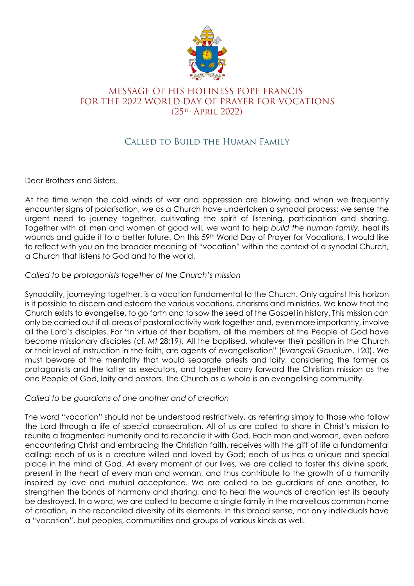

## MESSAGE OF HIS HOLINESS POPE FRANCIS FOR THE 2022 WORLD DAY OF PRAYER FOR VOCATIONS (25th April 2022)

# Called to Build the Human Family

Dear Brothers and Sisters,

At the time when the cold winds of war and oppression are blowing and when we frequently encounter signs of polarisation, we as a Church have undertaken a synodal process: we sense the urgent need to journey together, cultivating the spirit of listening, participation and sharing. Together with all men and women of good will, we want to help *build the human family*, heal its wounds and guide it to a better future. On this 59<sup>th</sup> World Day of Prayer for Vocations, I would like to reflect with you on the broader meaning of "vocation" within the context of a synodal Church, a Church that listens to God and to the world.

### *Called to be protagonists together of the Church's mission*

Synodality, journeying together, is a vocation fundamental to the Church. Only against this horizon is it possible to discern and esteem the various vocations, charisms and ministries. We know that the Church exists to evangelise, to go forth and to sow the seed of the Gospel in history. This mission can only be carried out if all areas of pastoral activity work together and, even more importantly, involve all the Lord's disciples. For "in virtue of their baptism, all the members of the People of God have become missionary disciples (cf. *Mt* 28:19). All the baptised, whatever their position in the Church or their level of instruction in the faith, are agents of evangelisation" (*Evangelii Gaudium*, 120). We must beware of the mentality that would separate priests and laity, considering the former as protagonists and the latter as executors, and together carry forward the Christian mission as the one People of God, laity and pastors. The Church as a whole is an evangelising community.

#### *Called to be guardians of one another and of creation*

The word "vocation" should not be understood restrictively, as referring simply to those who follow the Lord through a life of special consecration. All of us are called to share in Christ's mission to reunite a fragmented humanity and to reconcile it with God. Each man and woman, even before encountering Christ and embracing the Christian faith, receives with the gift of life a fundamental calling: each of us is a creature willed and loved by God; each of us has a unique and special place in the mind of God. At every moment of our lives, we are called to foster this divine spark, present in the heart of every man and woman, and thus contribute to the growth of a humanity inspired by love and mutual acceptance. We are called to be guardians of one another, to strengthen the bonds of harmony and sharing, and to heal the wounds of creation lest its beauty be destroyed. In a word, we are called to become a single family in the marvellous common home of creation, in the reconciled diversity of its elements. In this broad sense, not only individuals have a "vocation", but peoples, communities and groups of various kinds as well.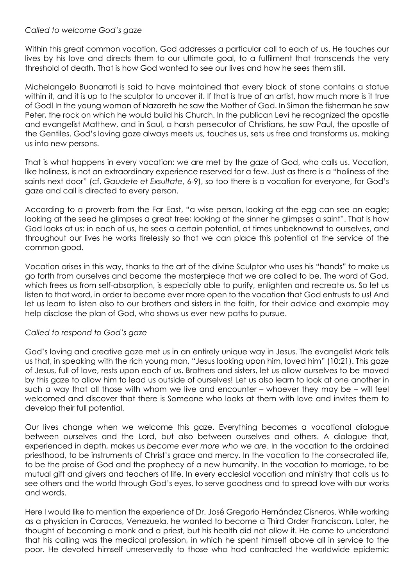#### *Called to welcome God's gaze*

Within this great common vocation, God addresses a particular call to each of us. He touches our lives by his love and directs them to our ultimate goal, to a fulfilment that transcends the very threshold of death. That is how God wanted to see our lives and how he sees them still.

Michelangelo Buonarroti is said to have maintained that every block of stone contains a statue within it, and it is up to the sculptor to uncover it. If that is true of an artist, how much more is it true of God! In the young woman of Nazareth he saw the Mother of God. In Simon the fisherman he saw Peter, the rock on which he would build his Church. In the publican Levi he recognized the apostle and evangelist Matthew, and in Saul, a harsh persecutor of Christians, he saw Paul, the apostle of the Gentiles. God's loving gaze always meets us, touches us, sets us free and transforms us, making us into new persons.

That is what happens in every vocation: we are met by the gaze of God, who calls us. Vocation, like holiness, is not an extraordinary experience reserved for a few. Just as there is a "holiness of the saints next door" (cf. *Gaudete et Exsultate*, 6-9), so too there is a vocation for everyone, for God's gaze and call is directed to every person.

According to a proverb from the Far East, "a wise person, looking at the egg can see an eagle; looking at the seed he glimpses a great tree; looking at the sinner he glimpses a saint". That is how God looks at us: in each of us, he sees a certain potential, at times unbeknownst to ourselves, and throughout our lives he works tirelessly so that we can place this potential at the service of the common good.

Vocation arises in this way, thanks to the art of the divine Sculptor who uses his "hands" to make us go forth from ourselves and become the masterpiece that we are called to be. The word of God, which frees us from self-absorption, is especially able to purify, enlighten and recreate us. So let us listen to that word, in order to become ever more open to the vocation that God entrusts to us! And let us learn to listen also to our brothers and sisters in the faith, for their advice and example may help disclose the plan of God, who shows us ever new paths to pursue.

#### *Called to respond to God's gaze*

God's loving and creative gaze met us in an entirely unique way in Jesus. The evangelist Mark tells us that, in speaking with the rich young man, "Jesus looking upon him, loved him" (10:21). This gaze of Jesus, full of love, rests upon each of us. Brothers and sisters, let us allow ourselves to be moved by this gaze to allow him to lead us outside of ourselves! Let us also learn to look at one another in such a way that all those with whom we live and encounter – whoever they may be – will feel welcomed and discover that there is Someone who looks at them with love and invites them to develop their full potential.

Our lives change when we welcome this gaze. Everything becomes a vocational dialogue between ourselves and the Lord, but also between ourselves and others. A dialogue that, experienced in depth, makes us *become ever more who we are*. In the vocation to the ordained priesthood, to be instruments of Christ's grace and mercy. In the vocation to the consecrated life, to be the praise of God and the prophecy of a new humanity. In the vocation to marriage, to be mutual gift and givers and teachers of life. In every ecclesial vocation and ministry that calls us to see others and the world through God's eyes, to serve goodness and to spread love with our works and words.

Here I would like to mention the experience of Dr. José Gregorio Hernández Cisneros. While working as a physician in Caracas, Venezuela, he wanted to become a Third Order Franciscan. Later, he thought of becoming a monk and a priest, but his health did not allow it. He came to understand that his calling was the medical profession, in which he spent himself above all in service to the poor. He devoted himself unreservedly to those who had contracted the worldwide epidemic